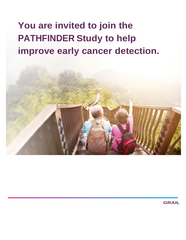# **You are invited to join the PATHFINDER Study to help improve early cancer detection.**